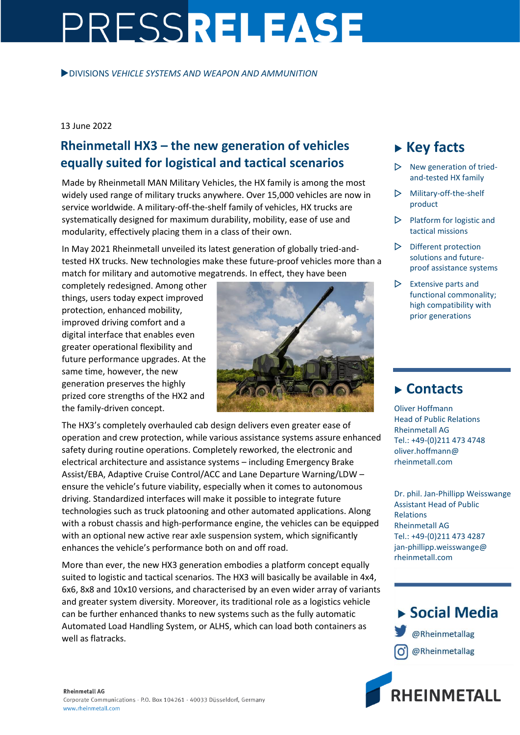# PRESSRELEASE

DIVISIONS *VEHICLE SYSTEMS AND WEAPON AND AMMUNITION*

### 13 June 2022

## **Rheinmetall HX3 – the new generation of vehicles equally suited for logistical and tactical scenarios**

Made by Rheinmetall MAN Military Vehicles, the HX family is among the most widely used range of military trucks anywhere. Over 15,000 vehicles are now in service worldwide. A military-off-the-shelf family of vehicles, HX trucks are systematically designed for maximum durability, mobility, ease of use and modularity, effectively placing them in a class of their own.

In May 2021 Rheinmetall unveiled its latest generation of globally tried-andtested HX trucks. New technologies make these future-proof vehicles more than a match for military and automotive megatrends. In effect, they have been

completely redesigned. Among other things, users today expect improved protection, enhanced mobility, improved driving comfort and a digital interface that enables even greater operational flexibility and future performance upgrades. At the same time, however, the new generation preserves the highly prized core strengths of the HX2 and the family-driven concept.



The HX3's completely overhauled cab design delivers even greater ease of operation and crew protection, while various assistance systems assure enhanced safety during routine operations. Completely reworked, the electronic and electrical architecture and assistance systems – including Emergency Brake Assist/EBA, Adaptive Cruise Control/ACC and Lane Departure Warning/LDW – ensure the vehicle's future viability, especially when it comes to autonomous driving. Standardized interfaces will make it possible to integrate future technologies such as truck platooning and other automated applications. Along with a robust chassis and high-performance engine, the vehicles can be equipped with an optional new active rear axle suspension system, which significantly enhances the vehicle's performance both on and off road.

More than ever, the new HX3 generation embodies a platform concept equally suited to logistic and tactical scenarios. The HX3 will basically be available in 4x4, 6x6, 8x8 and 10x10 versions, and characterised by an even wider array of variants and greater system diversity. Moreover, its traditional role as a logistics vehicle can be further enhanced thanks to new systems such as the fully automatic Automated Load Handling System, or ALHS, which can load both containers as well as flatracks.

# **Key facts**

- New generation of triedand-tested HX family
- Military-off-the-shelf product
- $\triangleright$  Platform for logistic and tactical missions
- $\triangleright$  Different protection solutions and futureproof assistance systems
- $\triangleright$  Extensive parts and functional commonality; high compatibility with prior generations

## **Contacts**

Oliver Hoffmann Head of Public Relations Rheinmetall AG Tel.: +49-(0)211 473 4748 oliver.hoffmann@ rheinmetall.com

Dr. phil. Jan-Phillipp Weisswange Assistant Head of Public Relations Rheinmetall AG Tel.: +49-(0)211 473 4287 jan-phillipp.weisswange@ rheinmetall.com



▶ Social Media

@Rheinmetallag